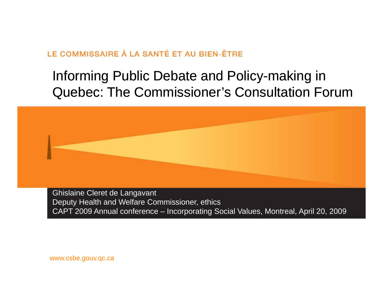### Informing Public Debate and Policy-making in Quebec: The Commissioner's Consultation Forum



Ghislaine Cleret de Langavant Deputy Health and Welfare Commissioner, ethics CAPT 2009 Annual conference – Incorporating Social Values, Montreal, April 20, 2009

www.csbe.gouv.qc.ca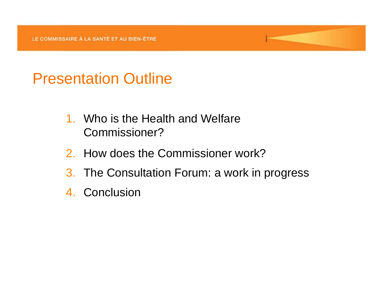# Presentation Outline

- 1. Who is the Health and Welfare Commissioner?
- 2. How does the Commissioner work?
- 3. The Consultation Forum: a work in progress
- 4. Conclusion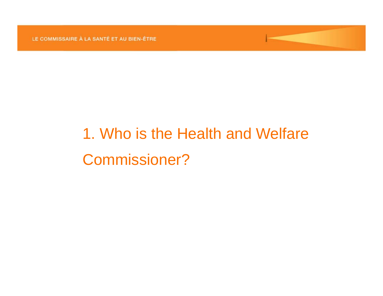# 1. Who is the Health and Welfare Commissioner?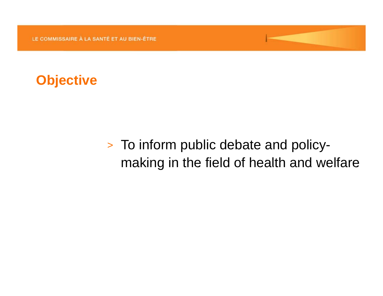

# To inform public debate and policymaking in the field of health and welfare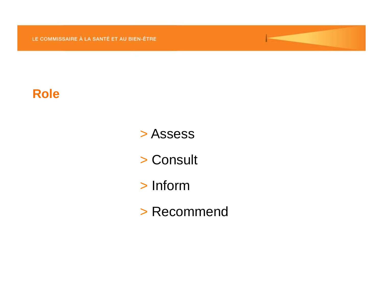#### **Role**

- > Assess
- > Consult
- > Inform
- > Recommend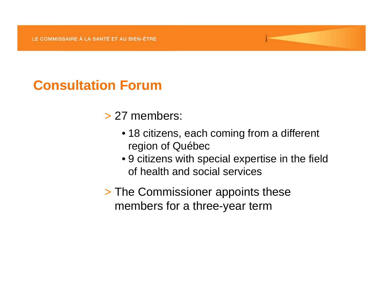### **Consultation Forum**

#### > 27 members:

- 18 citizens, each coming from a different region of Québec
- 9 citizens with special expertise in the field of health and social services
- > The Commissioner appoints these members for a three-year term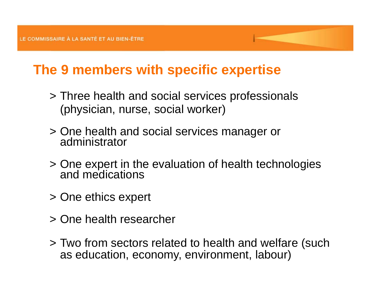## **The 9 members with specific expertise**

- > Three health and social services professionals (physician, nurse, social worker)
- > One health and social servi One health and social services manager or<br>administrator
- > One expert in the evaluation of health technologies and medications
- > One ethics expert
- > One health researcher
- > Two from sectors related to health and welfare (such as education, economy, environment, labour)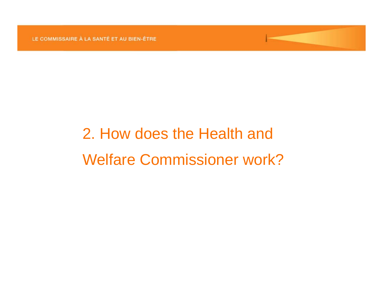# 2. How does the Health and Welfare Commissioner work?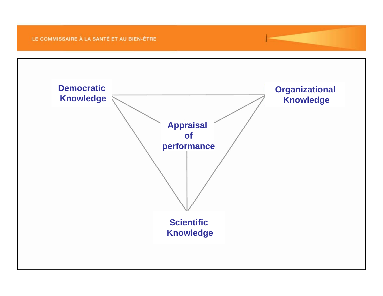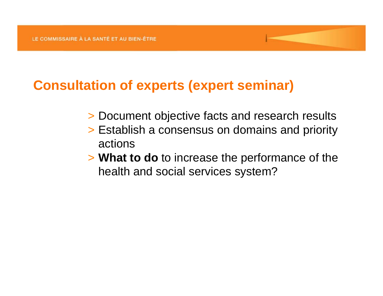### **Consultation of experts (expert seminar)**

- > Document objective facts and research results
- > Establish <sup>a</sup> consensus on domains and priority actions
- > **What to do** to increase the performance of the health and social services system?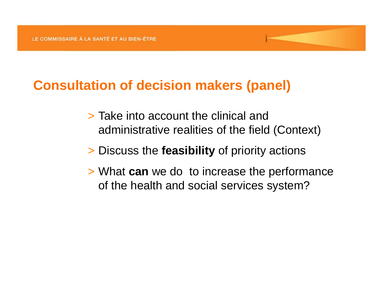### **Consultation of decision makers (p ) anel**

- > Take into account the clinical and administrative realities of the field (Context)
- > Discuss the **feasibility** of priority actions
- > What **can** we do to increase the performance of the health and social services system?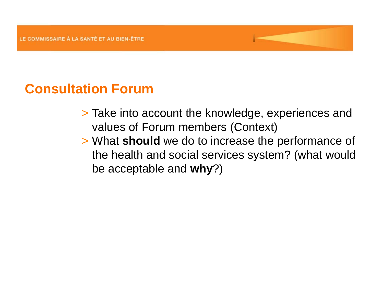### **Consultation Forum**

- > Take into account the knowledge, experiences and values of Forum members (Context)
- > What **should** we do to increase the performance of the health and social services system? (what would be acceptable and **why**?)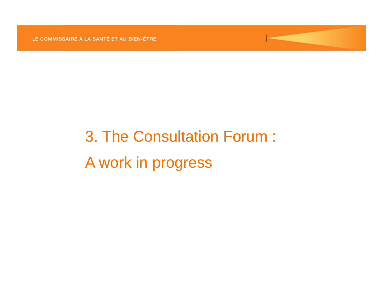# 3. The Consultation Forum : A work in progress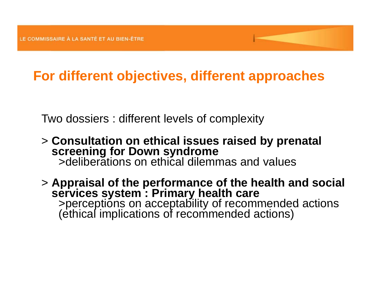## **For different objectives, different approaches**

Two dossiers : different levels of complexity

> **Consultation on ethical issues raised by prenatal screening for Down syndrome** >deliberations on ethical dilemmas and values

> **Appraisal of the performance of the health and social services system : Primary health care**  >perceptions on acceptability of recommended actions (ethical implications of recommended actions)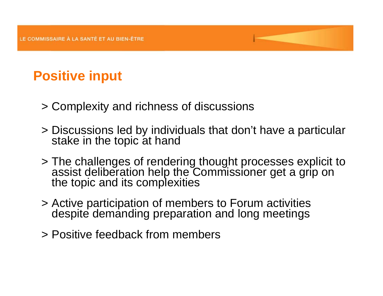# **Positive input**

- > Complexity and richness of discussions
- > Discussions led by individuals that don t' have <sup>a</sup> particular stake in the topic at hand
- > The challenges of rendering thought processes explicit to assist deliberation help the Commissioner get a grip on the topic and its complexities
- > Active participation of members to Forum activities despite demanding preparation and long meetings
- > Positive feedback from members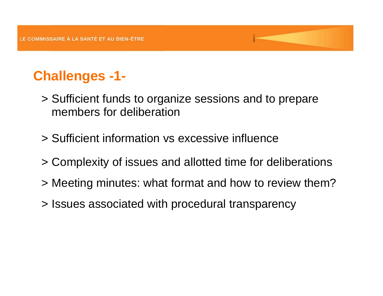# **Challenges -1-**

- > Sufficient funds to organize sessions and to prepare members for deliberation
- > Sufficient information vs excessive influence
- > Complexity of issues and allotted time for deliberations
- > Meeting minutes: what format and how to review them?
- $>$  Issues associated with procedural transparency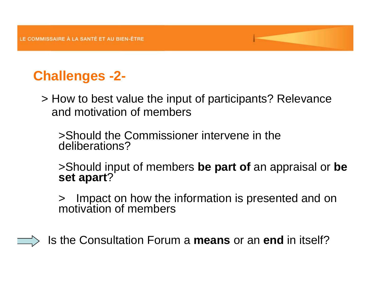# **Challenges -2-**

> How to best value the input of participants? Relevance and motivation of members

>Should the Commissioner intervene in the deliberations?

 $>$ Should input of members be part of an appraisal or be **set apart**?

>Imp act on how the information is presented and on motivation of members

Is the Consultation Forum a **means** or an **end** in itself?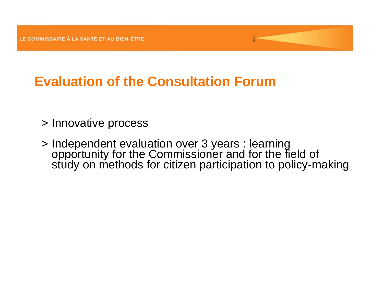# **Evaluation of the Consultation Forum**

- > Innovative process
- > Independent evaluation over 3 years : learning<br>opportunity for the Commissioner and for the field of<br>study on methods for citizen participation to policy-making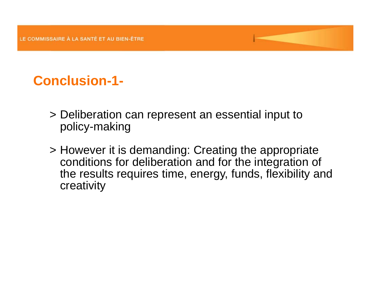# **Conclusion-1-**

- > Deliberation can represent an essential input to policy-making
- > However it is demanding: Creating the appropriate conditions for deliberation and for the integration of the results requires time, energy, funds, flexibility and creativity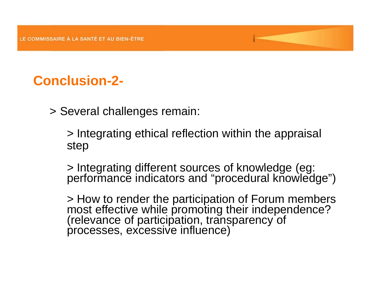# **Conclusion-2-**

> Several challenges remain:

> Integrating ethical reflection within the appraisal step

> Integrating different sources of knowledge (eg: performance indicators and "procedural knowledge")

> How to render the participation of Forum members most effective while promoting their independence? How to render the promoting moment of the promoting most effective effective processes, excessive influence)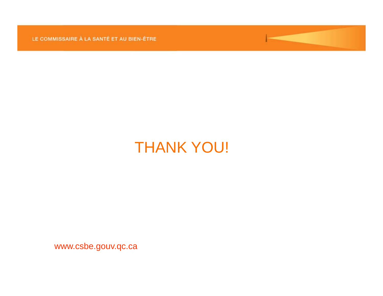

www.csbe.gouv.qc.ca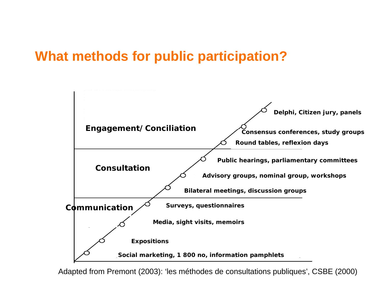### **What methods for public participation?**



Adapted from Premont (2003): 'les méthodes de consultations publiques', CSBE (2000)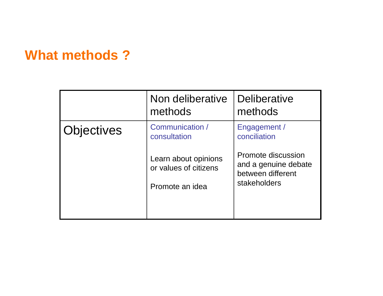### **What methods ?**

|                   | Non deliberative<br>methods                                      | <b>Deliberative</b><br>methods                                                  |
|-------------------|------------------------------------------------------------------|---------------------------------------------------------------------------------|
| <b>Objectives</b> | Communication /<br>consultation                                  | Engagement /<br>conciliation                                                    |
|                   | Learn about opinions<br>or values of citizens<br>Promote an idea | Promote discussion<br>and a genuine debate<br>between different<br>stakeholders |